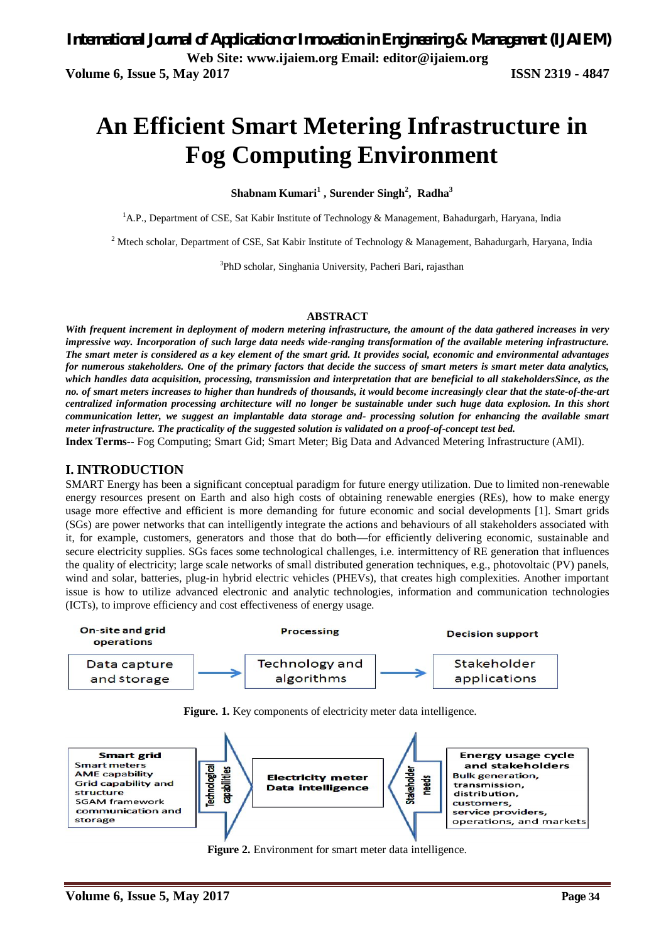# **An Efficient Smart Metering Infrastructure in Fog Computing Environment**

**Shabnam Kumari<sup>1</sup> , Surender Singh<sup>2</sup> , Radha<sup>3</sup>**

<sup>1</sup>A.P., Department of CSE, Sat Kabir Institute of Technology & Management, Bahadurgarh, Haryana, India

<sup>2</sup> Mtech scholar, Department of CSE, Sat Kabir Institute of Technology & Management, Bahadurgarh, Haryana, India

<sup>3</sup>PhD scholar, Singhania University, Pacheri Bari, rajasthan

#### **ABSTRACT**

*With frequent increment in deployment of modern metering infrastructure, the amount of the data gathered increases in very impressive way. Incorporation of such large data needs wide-ranging transformation of the available metering infrastructure. The smart meter is considered as a key element of the smart grid. It provides social, economic and environmental advantages for numerous stakeholders. One of the primary factors that decide the success of smart meters is smart meter data analytics, which handles data acquisition, processing, transmission and interpretation that are beneficial to all stakeholdersSince, as the no. of smart meters increases to higher than hundreds of thousands, it would become increasingly clear that the state-of-the-art centralized information processing architecture will no longer be sustainable under such huge data explosion. In this short communication letter, we suggest an implantable data storage and- processing solution for enhancing the available smart meter infrastructure. The practicality of the suggested solution is validated on a proof-of-concept test bed.*

**Index Terms--** Fog Computing; Smart Gid; Smart Meter; Big Data and Advanced Metering Infrastructure (AMI).

#### **I. INTRODUCTION**

SMART Energy has been a significant conceptual paradigm for future energy utilization. Due to limited non-renewable energy resources present on Earth and also high costs of obtaining renewable energies (REs), how to make energy usage more effective and efficient is more demanding for future economic and social developments [1]. Smart grids (SGs) are power networks that can intelligently integrate the actions and behaviours of all stakeholders associated with it, for example, customers, generators and those that do both—for efficiently delivering economic, sustainable and secure electricity supplies. SGs faces some technological challenges, i.e. intermittency of RE generation that influences the quality of electricity; large scale networks of small distributed generation techniques, e.g., photovoltaic (PV) panels, wind and solar, batteries, plug-in hybrid electric vehicles (PHEVs), that creates high complexities. Another important issue is how to utilize advanced electronic and analytic technologies, information and communication technologies (ICTs), to improve efficiency and cost effectiveness of energy usage.



Figure. 1. Key components of electricity meter data intelligence.



**Figure 2.** Environment for smart meter data intelligence.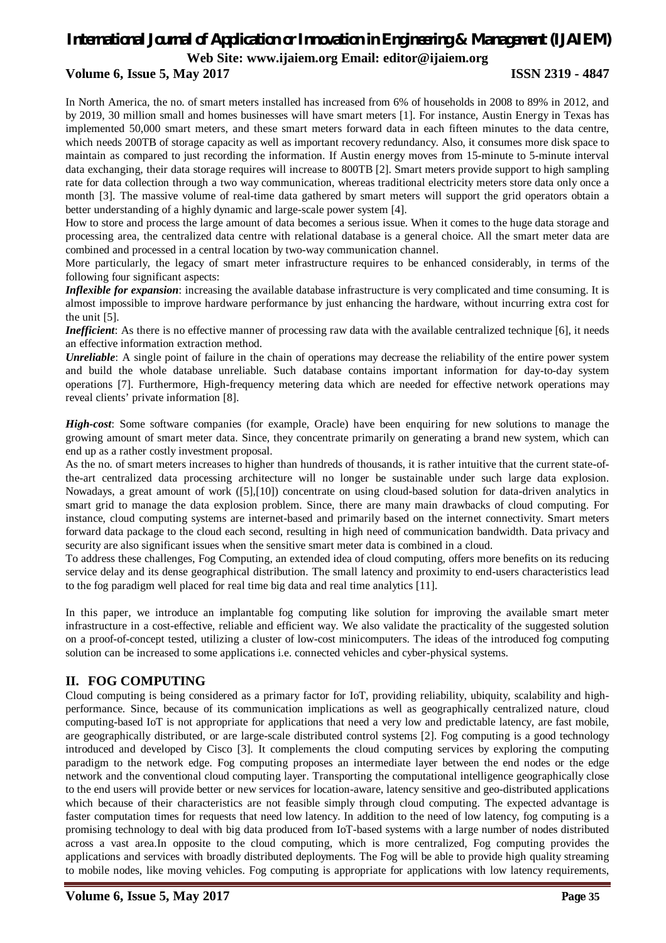# **Volume 6, Issue 5, May 2017 ISSN 2319 - 4847**

In North America, the no. of smart meters installed has increased from 6% of households in 2008 to 89% in 2012, and by 2019, 30 million small and homes businesses will have smart meters [1]. For instance, Austin Energy in Texas has implemented 50,000 smart meters, and these smart meters forward data in each fifteen minutes to the data centre, which needs 200TB of storage capacity as well as important recovery redundancy. Also, it consumes more disk space to maintain as compared to just recording the information. If Austin energy moves from 15-minute to 5-minute interval data exchanging, their data storage requires will increase to 800TB [2]. Smart meters provide support to high sampling rate for data collection through a two way communication, whereas traditional electricity meters store data only once a month [3]. The massive volume of real-time data gathered by smart meters will support the grid operators obtain a better understanding of a highly dynamic and large-scale power system [4].

How to store and process the large amount of data becomes a serious issue. When it comes to the huge data storage and processing area, the centralized data centre with relational database is a general choice. All the smart meter data are combined and processed in a central location by two-way communication channel.

More particularly, the legacy of smart meter infrastructure requires to be enhanced considerably, in terms of the following four significant aspects:

*Inflexible for expansion*: increasing the available database infrastructure is very complicated and time consuming. It is almost impossible to improve hardware performance by just enhancing the hardware, without incurring extra cost for the unit [5].

*Inefficient*: As there is no effective manner of processing raw data with the available centralized technique [6], it needs an effective information extraction method.

*Unreliable*: A single point of failure in the chain of operations may decrease the reliability of the entire power system and build the whole database unreliable. Such database contains important information for day-to-day system operations [7]. Furthermore, High-frequency metering data which are needed for effective network operations may reveal clients' private information [8].

*High-cost*: Some software companies (for example, Oracle) have been enquiring for new solutions to manage the growing amount of smart meter data. Since, they concentrate primarily on generating a brand new system, which can end up as a rather costly investment proposal.

As the no. of smart meters increases to higher than hundreds of thousands, it is rather intuitive that the current state-ofthe-art centralized data processing architecture will no longer be sustainable under such large data explosion. Nowadays, a great amount of work ([5],[10]) concentrate on using cloud-based solution for data-driven analytics in smart grid to manage the data explosion problem. Since, there are many main drawbacks of cloud computing. For instance, cloud computing systems are internet-based and primarily based on the internet connectivity. Smart meters forward data package to the cloud each second, resulting in high need of communication bandwidth. Data privacy and security are also significant issues when the sensitive smart meter data is combined in a cloud.

To address these challenges, Fog Computing, an extended idea of cloud computing, offers more benefits on its reducing service delay and its dense geographical distribution. The small latency and proximity to end-users characteristics lead to the fog paradigm well placed for real time big data and real time analytics [11].

In this paper, we introduce an implantable fog computing like solution for improving the available smart meter infrastructure in a cost-effective, reliable and efficient way. We also validate the practicality of the suggested solution on a proof-of-concept tested, utilizing a cluster of low-cost minicomputers. The ideas of the introduced fog computing solution can be increased to some applications i.e. connected vehicles and cyber-physical systems.

### **II. FOG COMPUTING**

Cloud computing is being considered as a primary factor for IoT, providing reliability, ubiquity, scalability and highperformance. Since, because of its communication implications as well as geographically centralized nature, cloud computing-based IoT is not appropriate for applications that need a very low and predictable latency, are fast mobile, are geographically distributed, or are large-scale distributed control systems [2]. Fog computing is a good technology introduced and developed by Cisco [3]. It complements the cloud computing services by exploring the computing paradigm to the network edge. Fog computing proposes an intermediate layer between the end nodes or the edge network and the conventional cloud computing layer. Transporting the computational intelligence geographically close to the end users will provide better or new services for location-aware, latency sensitive and geo-distributed applications which because of their characteristics are not feasible simply through cloud computing. The expected advantage is faster computation times for requests that need low latency. In addition to the need of low latency, fog computing is a promising technology to deal with big data produced from IoT-based systems with a large number of nodes distributed across a vast area.In opposite to the cloud computing, which is more centralized, Fog computing provides the applications and services with broadly distributed deployments. The Fog will be able to provide high quality streaming to mobile nodes, like moving vehicles. Fog computing is appropriate for applications with low latency requirements,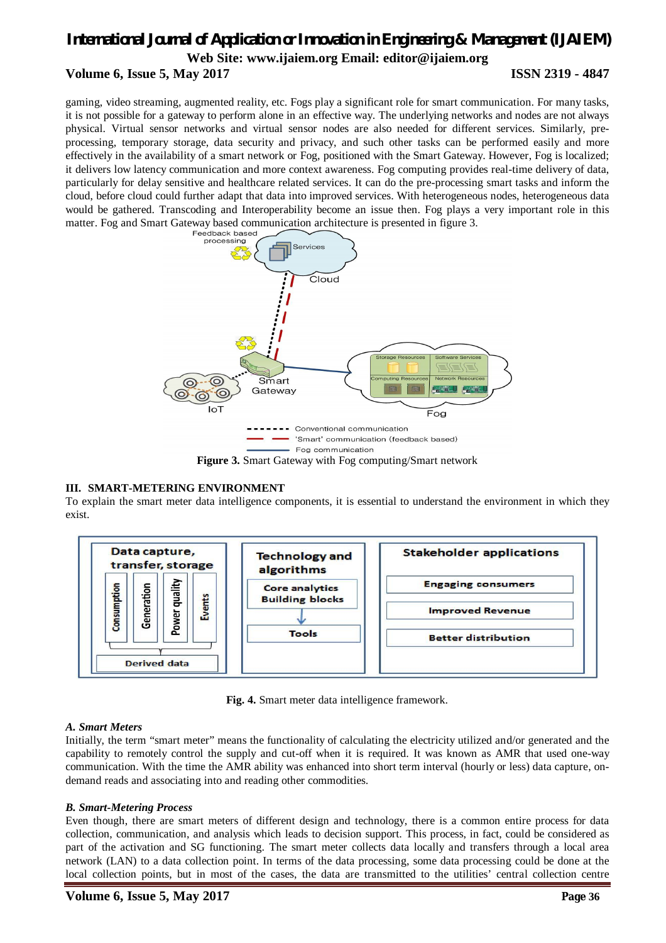# *International Journal of Application or Innovation in Engineering & Management (IJAIEM)* **Web Site: www.ijaiem.org Email: editor@ijaiem.org Volume 6, Issue 5, May 2017 ISSN 2319 - 4847**

gaming, video streaming, augmented reality, etc. Fogs play a significant role for smart communication. For many tasks, it is not possible for a gateway to perform alone in an effective way. The underlying networks and nodes are not always physical. Virtual sensor networks and virtual sensor nodes are also needed for different services. Similarly, preprocessing, temporary storage, data security and privacy, and such other tasks can be performed easily and more effectively in the availability of a smart network or Fog, positioned with the Smart Gateway. However, Fog is localized; it delivers low latency communication and more context awareness. Fog computing provides real-time delivery of data, particularly for delay sensitive and healthcare related services. It can do the pre-processing smart tasks and inform the cloud, before cloud could further adapt that data into improved services. With heterogeneous nodes, heterogeneous data would be gathered. Transcoding and Interoperability become an issue then. Fog plays a very important role in this matter. Fog and Smart Gateway based communication architecture is presented in figure 3.



### **Figure 3.** Smart Gateway with Fog computing/Smart network

# **III. SMART-METERING ENVIRONMENT**

To explain the smart meter data intelligence components, it is essential to understand the environment in which they exist.



**Fig. 4.** Smart meter data intelligence framework.

# *A. Smart Meters*

Initially, the term "smart meter" means the functionality of calculating the electricity utilized and/or generated and the capability to remotely control the supply and cut-off when it is required. It was known as AMR that used one-way communication. With the time the AMR ability was enhanced into short term interval (hourly or less) data capture, ondemand reads and associating into and reading other commodities.

# *B. Smart-Metering Process*

Even though, there are smart meters of different design and technology, there is a common entire process for data collection, communication, and analysis which leads to decision support. This process, in fact, could be considered as part of the activation and SG functioning. The smart meter collects data locally and transfers through a local area network (LAN) to a data collection point. In terms of the data processing, some data processing could be done at the local collection points, but in most of the cases, the data are transmitted to the utilities' central collection centre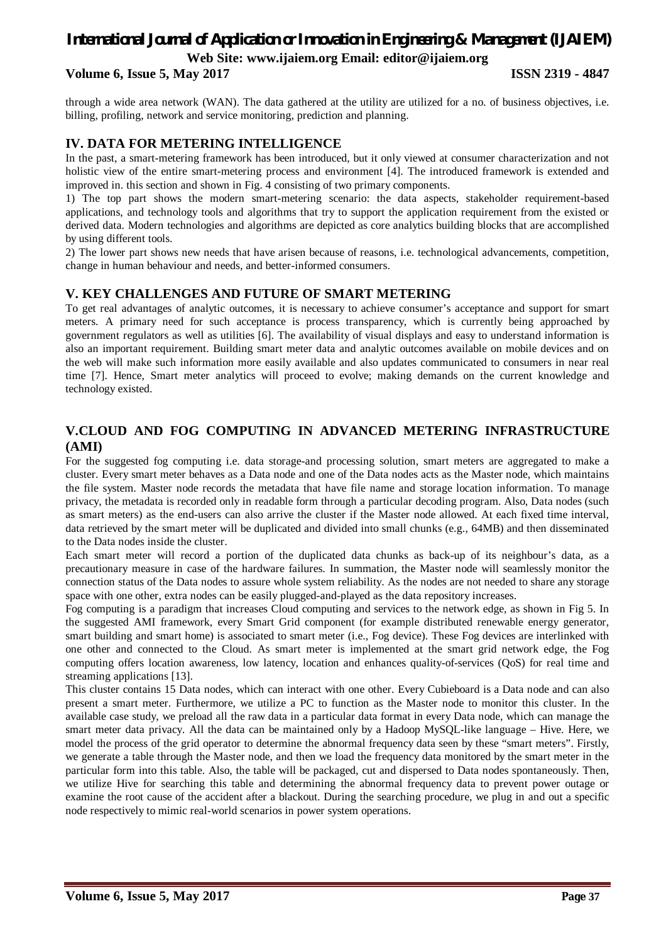### **Volume 6, Issue 5, May 2017 ISSN 2319 - 4847**

through a wide area network (WAN). The data gathered at the utility are utilized for a no. of business objectives, i.e. billing, profiling, network and service monitoring, prediction and planning.

#### **IV. DATA FOR METERING INTELLIGENCE**

In the past, a smart-metering framework has been introduced, but it only viewed at consumer characterization and not holistic view of the entire smart-metering process and environment [4]. The introduced framework is extended and improved in. this section and shown in Fig. 4 consisting of two primary components.

1) The top part shows the modern smart-metering scenario: the data aspects, stakeholder requirement-based applications, and technology tools and algorithms that try to support the application requirement from the existed or derived data. Modern technologies and algorithms are depicted as core analytics building blocks that are accomplished by using different tools.

2) The lower part shows new needs that have arisen because of reasons, i.e. technological advancements, competition, change in human behaviour and needs, and better-informed consumers.

## **V. KEY CHALLENGES AND FUTURE OF SMART METERING**

To get real advantages of analytic outcomes, it is necessary to achieve consumer's acceptance and support for smart meters. A primary need for such acceptance is process transparency, which is currently being approached by government regulators as well as utilities [6]. The availability of visual displays and easy to understand information is also an important requirement. Building smart meter data and analytic outcomes available on mobile devices and on the web will make such information more easily available and also updates communicated to consumers in near real time [7]. Hence, Smart meter analytics will proceed to evolve; making demands on the current knowledge and technology existed.

## **V.CLOUD AND FOG COMPUTING IN ADVANCED METERING INFRASTRUCTURE (AMI)**

For the suggested fog computing i.e. data storage-and processing solution, smart meters are aggregated to make a cluster. Every smart meter behaves as a Data node and one of the Data nodes acts as the Master node, which maintains the file system. Master node records the metadata that have file name and storage location information. To manage privacy, the metadata is recorded only in readable form through a particular decoding program. Also, Data nodes (such as smart meters) as the end-users can also arrive the cluster if the Master node allowed. At each fixed time interval, data retrieved by the smart meter will be duplicated and divided into small chunks (e.g., 64MB) and then disseminated to the Data nodes inside the cluster.

Each smart meter will record a portion of the duplicated data chunks as back-up of its neighbour's data, as a precautionary measure in case of the hardware failures. In summation, the Master node will seamlessly monitor the connection status of the Data nodes to assure whole system reliability. As the nodes are not needed to share any storage space with one other, extra nodes can be easily plugged-and-played as the data repository increases.

Fog computing is a paradigm that increases Cloud computing and services to the network edge, as shown in Fig 5. In the suggested AMI framework, every Smart Grid component (for example distributed renewable energy generator, smart building and smart home) is associated to smart meter (i.e., Fog device). These Fog devices are interlinked with one other and connected to the Cloud. As smart meter is implemented at the smart grid network edge, the Fog computing offers location awareness, low latency, location and enhances quality-of-services (QoS) for real time and streaming applications [13].

This cluster contains 15 Data nodes, which can interact with one other. Every Cubieboard is a Data node and can also present a smart meter. Furthermore, we utilize a PC to function as the Master node to monitor this cluster. In the available case study, we preload all the raw data in a particular data format in every Data node, which can manage the smart meter data privacy. All the data can be maintained only by a Hadoop MySQL-like language – Hive. Here, we model the process of the grid operator to determine the abnormal frequency data seen by these "smart meters". Firstly, we generate a table through the Master node, and then we load the frequency data monitored by the smart meter in the particular form into this table. Also, the table will be packaged, cut and dispersed to Data nodes spontaneously. Then, we utilize Hive for searching this table and determining the abnormal frequency data to prevent power outage or examine the root cause of the accident after a blackout. During the searching procedure, we plug in and out a specific node respectively to mimic real-world scenarios in power system operations.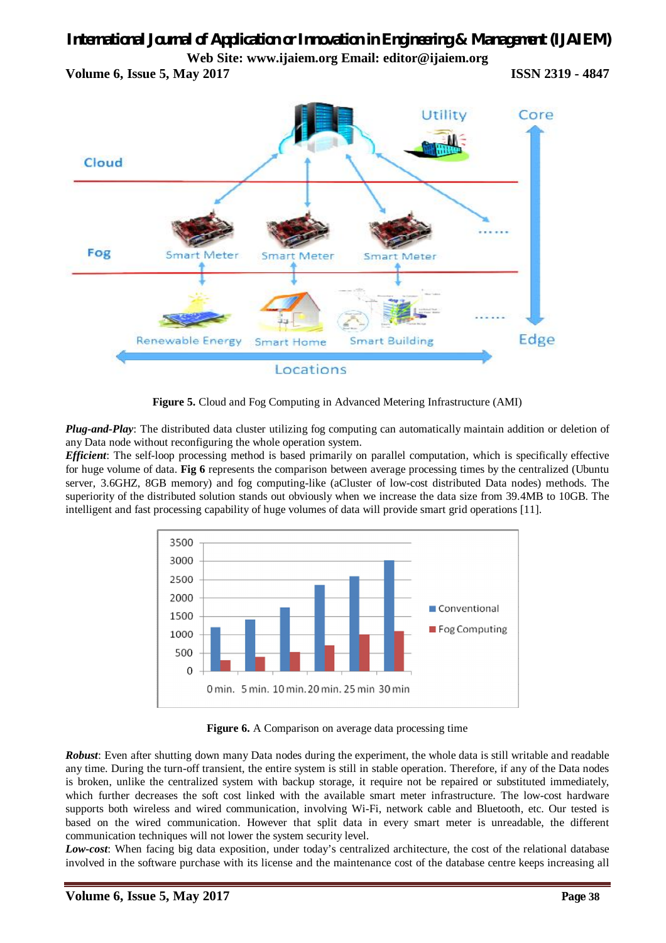**Volume 6, Issue 5, May 2017 ISSN 2319 - 4847**



**Figure 5.** Cloud and Fog Computing in Advanced Metering Infrastructure (AMI)

*Plug-and-Play*: The distributed data cluster utilizing fog computing can automatically maintain addition or deletion of any Data node without reconfiguring the whole operation system.

*Efficient*: The self-loop processing method is based primarily on parallel computation, which is specifically effective for huge volume of data. **Fig 6** represents the comparison between average processing times by the centralized (Ubuntu server, 3.6GHZ, 8GB memory) and fog computing-like (aCluster of low-cost distributed Data nodes) methods. The superiority of the distributed solution stands out obviously when we increase the data size from 39.4MB to 10GB. The intelligent and fast processing capability of huge volumes of data will provide smart grid operations [11].



**Figure 6.** A Comparison on average data processing time

*Robust*: Even after shutting down many Data nodes during the experiment, the whole data is still writable and readable any time. During the turn-off transient, the entire system is still in stable operation. Therefore, if any of the Data nodes is broken, unlike the centralized system with backup storage, it require not be repaired or substituted immediately, which further decreases the soft cost linked with the available smart meter infrastructure. The low-cost hardware supports both wireless and wired communication, involving Wi-Fi, network cable and Bluetooth, etc. Our tested is based on the wired communication. However that split data in every smart meter is unreadable, the different communication techniques will not lower the system security level.

*Low-cost*: When facing big data exposition, under today's centralized architecture, the cost of the relational database involved in the software purchase with its license and the maintenance cost of the database centre keeps increasing all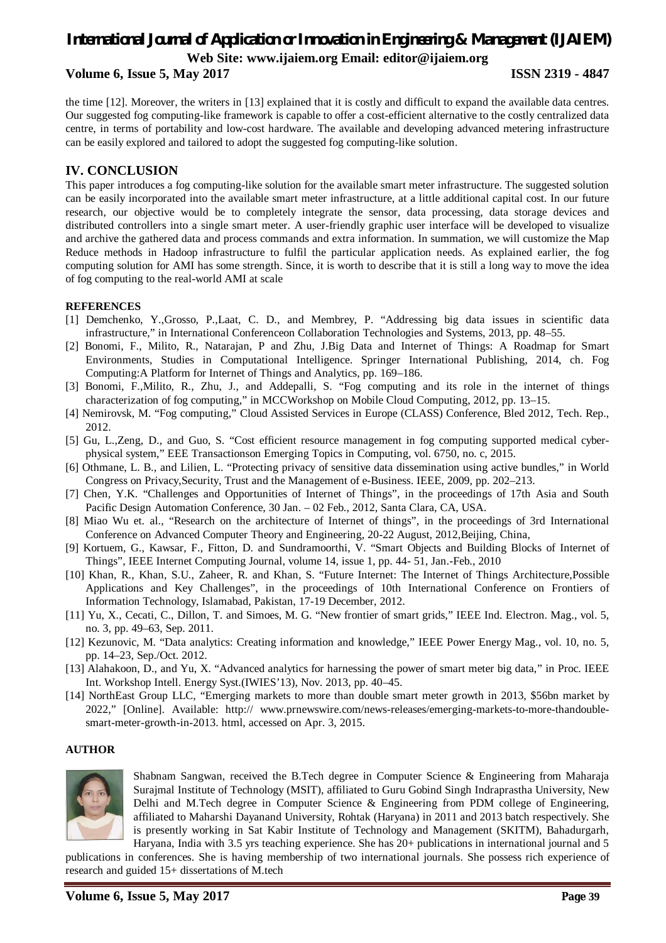**Volume 6, Issue 5, May 2017 ISSN 2319 - 4847**

the time [12]. Moreover, the writers in [13] explained that it is costly and difficult to expand the available data centres. Our suggested fog computing-like framework is capable to offer a cost-efficient alternative to the costly centralized data centre, in terms of portability and low-cost hardware. The available and developing advanced metering infrastructure can be easily explored and tailored to adopt the suggested fog computing-like solution.

### **IV. CONCLUSION**

This paper introduces a fog computing-like solution for the available smart meter infrastructure. The suggested solution can be easily incorporated into the available smart meter infrastructure, at a little additional capital cost. In our future research, our objective would be to completely integrate the sensor, data processing, data storage devices and distributed controllers into a single smart meter. A user-friendly graphic user interface will be developed to visualize and archive the gathered data and process commands and extra information. In summation, we will customize the Map Reduce methods in Hadoop infrastructure to fulfil the particular application needs. As explained earlier, the fog computing solution for AMI has some strength. Since, it is worth to describe that it is still a long way to move the idea of fog computing to the real-world AMI at scale

#### **REFERENCES**

- [1] Demchenko, Y.,Grosso, P.,Laat, C. D., and Membrey, P. "Addressing big data issues in scientific data infrastructure," in International Conferenceon Collaboration Technologies and Systems, 2013, pp. 48–55.
- [2] Bonomi, F., Milito, R., Natarajan, P and Zhu, J.Big Data and Internet of Things: A Roadmap for Smart Environments, Studies in Computational Intelligence. Springer International Publishing, 2014, ch. Fog Computing:A Platform for Internet of Things and Analytics, pp. 169–186.
- [3] Bonomi, F.,Milito, R., Zhu, J., and Addepalli, S. "Fog computing and its role in the internet of things characterization of fog computing," in MCCWorkshop on Mobile Cloud Computing, 2012, pp. 13–15.
- [4] Nemirovsk, M. "Fog computing," Cloud Assisted Services in Europe (CLASS) Conference, Bled 2012, Tech. Rep., 2012.
- [5] Gu, L.,Zeng, D., and Guo, S. "Cost efficient resource management in fog computing supported medical cyberphysical system," EEE Transactionson Emerging Topics in Computing, vol. 6750, no. c, 2015.
- [6] Othmane, L. B., and Lilien, L. "Protecting privacy of sensitive data dissemination using active bundles," in World Congress on Privacy,Security, Trust and the Management of e-Business. IEEE, 2009, pp. 202–213.
- [7] Chen, Y.K. "Challenges and Opportunities of Internet of Things", in the proceedings of 17th Asia and South Pacific Design Automation Conference, 30 Jan. – 02 Feb., 2012, Santa Clara, CA, USA.
- [8] Miao Wu et. al., "Research on the architecture of Internet of things", in the proceedings of 3rd International Conference on Advanced Computer Theory and Engineering, 20-22 August, 2012,Beijing, China,
- [9] Kortuem, G., Kawsar, F., Fitton, D. and Sundramoorthi, V. "Smart Objects and Building Blocks of Internet of Things", IEEE Internet Computing Journal, volume 14, issue 1, pp. 44- 51, Jan.-Feb., 2010
- [10] Khan, R., Khan, S.U., Zaheer, R. and Khan, S. "Future Internet: The Internet of Things Architecture,Possible Applications and Key Challenges", in the proceedings of 10th International Conference on Frontiers of Information Technology, Islamabad, Pakistan, 17-19 December, 2012.
- [11] Yu, X., Cecati, C., Dillon, T. and Simoes, M. G. "New frontier of smart grids," IEEE Ind. Electron. Mag., vol. 5, no. 3, pp. 49–63, Sep. 2011.
- [12] Kezunovic, M. "Data analytics: Creating information and knowledge," IEEE Power Energy Mag., vol. 10, no. 5, pp. 14–23, Sep./Oct. 2012.
- [13] Alahakoon, D., and Yu, X. "Advanced analytics for harnessing the power of smart meter big data," in Proc. IEEE Int. Workshop Intell. Energy Syst.(IWIES'13), Nov. 2013, pp. 40–45.
- [14] NorthEast Group LLC, "Emerging markets to more than double smart meter growth in 2013, \$56bn market by 2022," [Online]. Available: http:// www.prnewswire.com/news-releases/emerging-markets-to-more-thandoublesmart-meter-growth-in-2013. html, accessed on Apr. 3, 2015.

#### **AUTHOR**



Shabnam Sangwan, received the B.Tech degree in Computer Science & Engineering from Maharaja Surajmal Institute of Technology (MSIT), affiliated to Guru Gobind Singh Indraprastha University, New Delhi and M.Tech degree in Computer Science & Engineering from PDM college of Engineering, affiliated to Maharshi Dayanand University, Rohtak (Haryana) in 2011 and 2013 batch respectively. She is presently working in Sat Kabir Institute of Technology and Management (SKITM), Bahadurgarh, Haryana, India with 3.5 yrs teaching experience. She has 20+ publications in international journal and 5

publications in conferences. She is having membership of two international journals. She possess rich experience of research and guided 15+ dissertations of M.tech